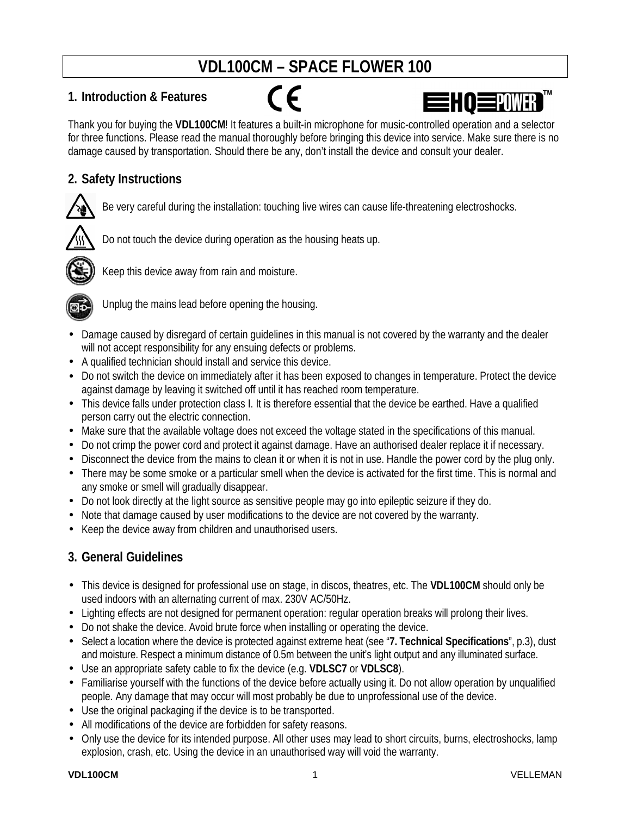# **VDL100CM – SPACE FLOWER 100**

# **1. Introduction & Features**



Thank you for buying the **VDL100CM**! It features a built-in microphone for music-controlled operation and a selector for three functions. Please read the manual thoroughly before bringing this device into service. Make sure there is no damage caused by transportation. Should there be any, don't install the device and consult your dealer.

# **2. Safety Instructions**

Be very careful during the installation: touching live wires can cause life-threatening electroshocks.



Do not touch the device during operation as the housing heats up.



Keep this device away from rain and moisture.



Unplug the mains lead before opening the housing.

- Damage caused by disregard of certain guidelines in this manual is not covered by the warranty and the dealer will not accept responsibility for any ensuing defects or problems.
- A qualified technician should install and service this device.
- Do not switch the device on immediately after it has been exposed to changes in temperature. Protect the device against damage by leaving it switched off until it has reached room temperature.
- This device falls under protection class I. It is therefore essential that the device be earthed. Have a qualified person carry out the electric connection.
- Make sure that the available voltage does not exceed the voltage stated in the specifications of this manual.
- Do not crimp the power cord and protect it against damage. Have an authorised dealer replace it if necessary.
- Disconnect the device from the mains to clean it or when it is not in use. Handle the power cord by the plug only.
- There may be some smoke or a particular smell when the device is activated for the first time. This is normal and any smoke or smell will gradually disappear.
- Do not look directly at the light source as sensitive people may go into epileptic seizure if they do.
- Note that damage caused by user modifications to the device are not covered by the warranty.
- Keep the device away from children and unauthorised users.

# **3. General Guidelines**

- This device is designed for professional use on stage, in discos, theatres, etc. The **VDL100CM** should only be used indoors with an alternating current of max. 230V AC/50Hz.
- Lighting effects are not designed for permanent operation: regular operation breaks will prolong their lives.
- Do not shake the device. Avoid brute force when installing or operating the device.
- Select a location where the device is protected against extreme heat (see "**7. Technical Specifications**", p.3), dust and moisture. Respect a minimum distance of 0.5m between the unit's light output and any illuminated surface.
- Use an appropriate safety cable to fix the device (e.g. **VDLSC7** or **VDLSC8**).
- Familiarise yourself with the functions of the device before actually using it. Do not allow operation by unqualified people. Any damage that may occur will most probably be due to unprofessional use of the device.
- Use the original packaging if the device is to be transported.
- All modifications of the device are forbidden for safety reasons.
- Only use the device for its intended purpose. All other uses may lead to short circuits, burns, electroshocks, lamp explosion, crash, etc. Using the device in an unauthorised way will void the warranty.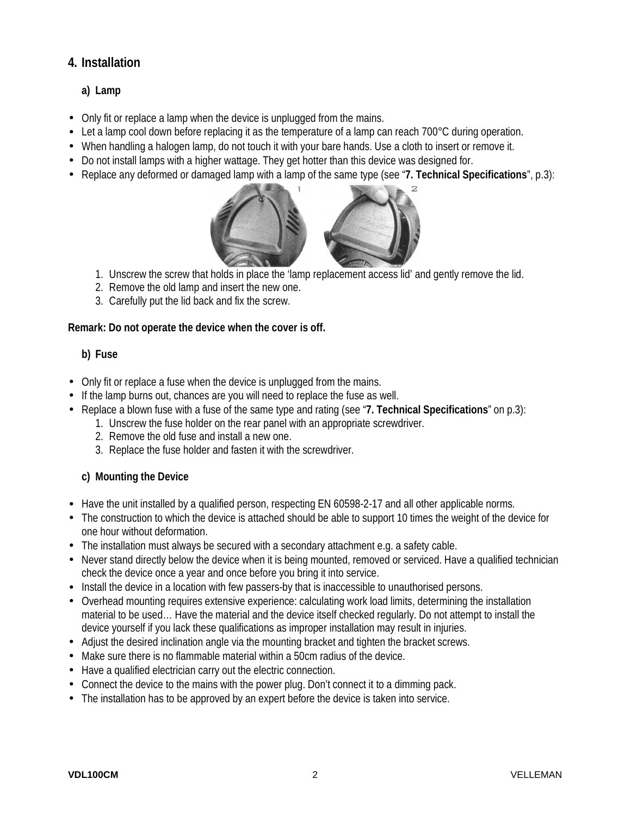# **4. Installation**

#### **a) Lamp**

- Only fit or replace a lamp when the device is unplugged from the mains.
- Let a lamp cool down before replacing it as the temperature of a lamp can reach 700°C during operation.
- When handling a halogen lamp, do not touch it with your bare hands. Use a cloth to insert or remove it.
- Do not install lamps with a higher wattage. They get hotter than this device was designed for.
- Replace any deformed or damaged lamp with a lamp of the same type (see "**7. Technical Specifications**", p.3):



- 1. Unscrew the screw that holds in place the 'lamp replacement access lid' and gently remove the lid.
- 2. Remove the old lamp and insert the new one.
- 3. Carefully put the lid back and fix the screw.

#### **Remark: Do not operate the device when the cover is off.**

#### **b) Fuse**

- Only fit or replace a fuse when the device is unplugged from the mains.
- If the lamp burns out, chances are you will need to replace the fuse as well.
- Replace a blown fuse with a fuse of the same type and rating (see "**7. Technical Specifications**" on p.3):
	- 1. Unscrew the fuse holder on the rear panel with an appropriate screwdriver.
	- 2. Remove the old fuse and install a new one.
	- 3. Replace the fuse holder and fasten it with the screwdriver.

#### **c) Mounting the Device**

- Have the unit installed by a qualified person, respecting EN 60598-2-17 and all other applicable norms.
- The construction to which the device is attached should be able to support 10 times the weight of the device for one hour without deformation.
- The installation must always be secured with a secondary attachment e.g. a safety cable.
- Never stand directly below the device when it is being mounted, removed or serviced. Have a qualified technician check the device once a year and once before you bring it into service.
- Install the device in a location with few passers-by that is inaccessible to unauthorised persons.
- Overhead mounting requires extensive experience: calculating work load limits, determining the installation material to be used… Have the material and the device itself checked regularly. Do not attempt to install the device yourself if you lack these qualifications as improper installation may result in injuries.
- Adjust the desired inclination angle via the mounting bracket and tighten the bracket screws.
- Make sure there is no flammable material within a 50cm radius of the device.
- Have a qualified electrician carry out the electric connection.
- Connect the device to the mains with the power plug. Don't connect it to a dimming pack.
- The installation has to be approved by an expert before the device is taken into service.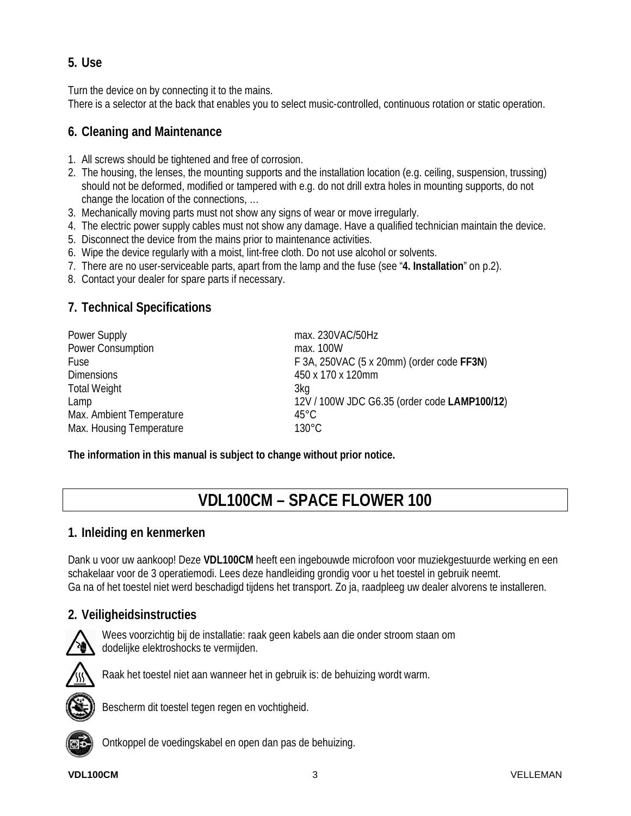# **5. Use**

Turn the device on by connecting it to the mains.

There is a selector at the back that enables you to select music-controlled, continuous rotation or static operation.

# **6. Cleaning and Maintenance**

- 1. All screws should be tightened and free of corrosion.
- 2. The housing, the lenses, the mounting supports and the installation location (e.g. ceiling, suspension, trussing) should not be deformed, modified or tampered with e.g. do not drill extra holes in mounting supports, do not change the location of the connections, …
- 3. Mechanically moving parts must not show any signs of wear or move irregularly.
- 4. The electric power supply cables must not show any damage. Have a qualified technician maintain the device.
- 5. Disconnect the device from the mains prior to maintenance activities.
- 6. Wipe the device regularly with a moist, lint-free cloth. Do not use alcohol or solvents.
- 7. There are no user-serviceable parts, apart from the lamp and the fuse (see "**4. Installation**" on p.2).
- 8. Contact your dealer for spare parts if necessary.

# **7. Technical Specifications**

| Power Supply             | max. 230VAC/50Hz                             |
|--------------------------|----------------------------------------------|
| <b>Power Consumption</b> | max. 100W                                    |
| Fuse                     | F 3A, 250VAC (5 x 20mm) (order code FF3N)    |
| <b>Dimensions</b>        | 450 x 170 x 120mm                            |
| <b>Total Weight</b>      | 3kg                                          |
| Lamp                     | 12V / 100W JDC G6.35 (order code LAMP100/12) |
| Max. Ambient Temperature | $45^{\circ}$ C                               |
| Max. Housing Temperature | $130^{\circ}$ C                              |

**The information in this manual is subject to change without prior notice.** 

# **VDL100CM – SPACE FLOWER 100**

### **1. Inleiding en kenmerken**

Dank u voor uw aankoop! Deze **VDL100CM** heeft een ingebouwde microfoon voor muziekgestuurde werking en een schakelaar voor de 3 operatiemodi. Lees deze handleiding grondig voor u het toestel in gebruik neemt. Ga na of het toestel niet werd beschadigd tijdens het transport. Zo ja, raadpleeg uw dealer alvorens te installeren.

# **2. Veiligheidsinstructies**



Wees voorzichtig bij de installatie: raak geen kabels aan die onder stroom staan om dodelijke elektroshocks te vermijden.



Raak het toestel niet aan wanneer het in gebruik is: de behuizing wordt warm.



Bescherm dit toestel tegen regen en vochtigheid.



Ontkoppel de voedingskabel en open dan pas de behuizing.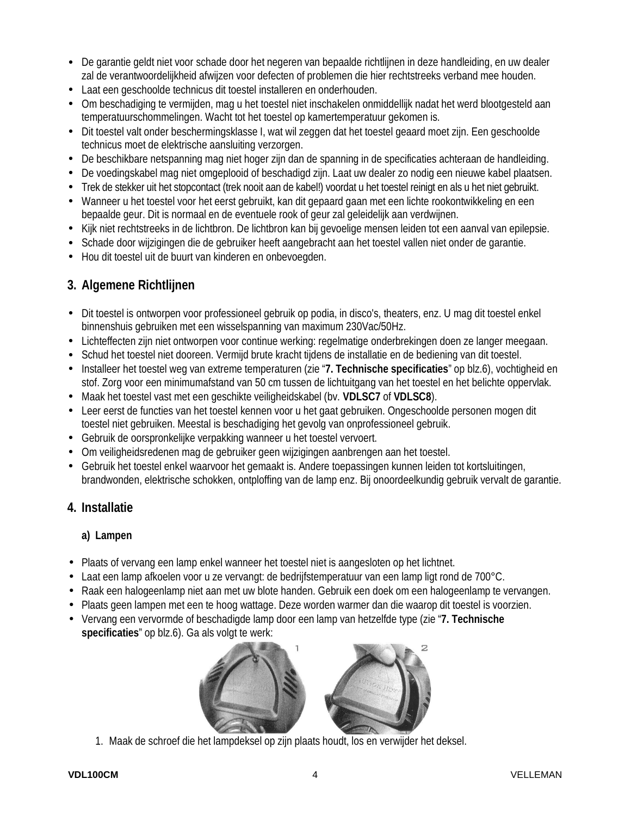- De garantie geldt niet voor schade door het negeren van bepaalde richtlijnen in deze handleiding, en uw dealer zal de verantwoordelijkheid afwijzen voor defecten of problemen die hier rechtstreeks verband mee houden.
- Laat een geschoolde technicus dit toestel installeren en onderhouden.
- Om beschadiging te vermijden, mag u het toestel niet inschakelen onmiddellijk nadat het werd blootgesteld aan temperatuurschommelingen. Wacht tot het toestel op kamertemperatuur gekomen is.
- Dit toestel valt onder beschermingsklasse I, wat wil zeggen dat het toestel geaard moet zijn. Een geschoolde technicus moet de elektrische aansluiting verzorgen.
- De beschikbare netspanning mag niet hoger zijn dan de spanning in de specificaties achteraan de handleiding.
- De voedingskabel mag niet omgeplooid of beschadigd zijn. Laat uw dealer zo nodig een nieuwe kabel plaatsen.
- Trek de stekker uit het stopcontact (trek nooit aan de kabel!) voordat u het toestel reinigt en als u het niet gebruikt.
- Wanneer u het toestel voor het eerst gebruikt, kan dit gepaard gaan met een lichte rookontwikkeling en een bepaalde geur. Dit is normaal en de eventuele rook of geur zal geleidelijk aan verdwijnen.
- Kijk niet rechtstreeks in de lichtbron. De lichtbron kan bij gevoelige mensen leiden tot een aanval van epilepsie.
- Schade door wijzigingen die de gebruiker heeft aangebracht aan het toestel vallen niet onder de garantie.
- Hou dit toestel uit de buurt van kinderen en onbevoegden.

# **3. Algemene Richtlijnen**

- Dit toestel is ontworpen voor professioneel gebruik op podia, in disco's, theaters, enz. U mag dit toestel enkel binnenshuis gebruiken met een wisselspanning van maximum 230Vac/50Hz.
- Lichteffecten zijn niet ontworpen voor continue werking: regelmatige onderbrekingen doen ze langer meegaan.
- Schud het toestel niet dooreen. Vermijd brute kracht tijdens de installatie en de bediening van dit toestel.
- Installeer het toestel weg van extreme temperaturen (zie "**7. Technische specificaties**" op blz.6), vochtigheid en stof. Zorg voor een minimumafstand van 50 cm tussen de lichtuitgang van het toestel en het belichte oppervlak.
- Maak het toestel vast met een geschikte veiligheidskabel (bv. **VDLSC7** of **VDLSC8**).
- Leer eerst de functies van het toestel kennen voor u het gaat gebruiken. Ongeschoolde personen mogen dit toestel niet gebruiken. Meestal is beschadiging het gevolg van onprofessioneel gebruik.
- Gebruik de oorspronkelijke verpakking wanneer u het toestel vervoert.
- Om veiligheidsredenen mag de gebruiker geen wijzigingen aanbrengen aan het toestel.
- Gebruik het toestel enkel waarvoor het gemaakt is. Andere toepassingen kunnen leiden tot kortsluitingen, brandwonden, elektrische schokken, ontploffing van de lamp enz. Bij onoordeelkundig gebruik vervalt de garantie.

# **4. Installatie**

### **a) Lampen**

- Plaats of vervang een lamp enkel wanneer het toestel niet is aangesloten op het lichtnet.
- Laat een lamp afkoelen voor u ze vervangt: de bedrijfstemperatuur van een lamp ligt rond de 700°C.
- Raak een halogeenlamp niet aan met uw blote handen. Gebruik een doek om een halogeenlamp te vervangen.
- Plaats geen lampen met een te hoog wattage. Deze worden warmer dan die waarop dit toestel is voorzien.
- Vervang een vervormde of beschadigde lamp door een lamp van hetzelfde type (zie "**7. Technische specificaties**" op blz.6). Ga als volgt te werk:



1. Maak de schroef die het lampdeksel op zijn plaats houdt, los en verwijder het deksel.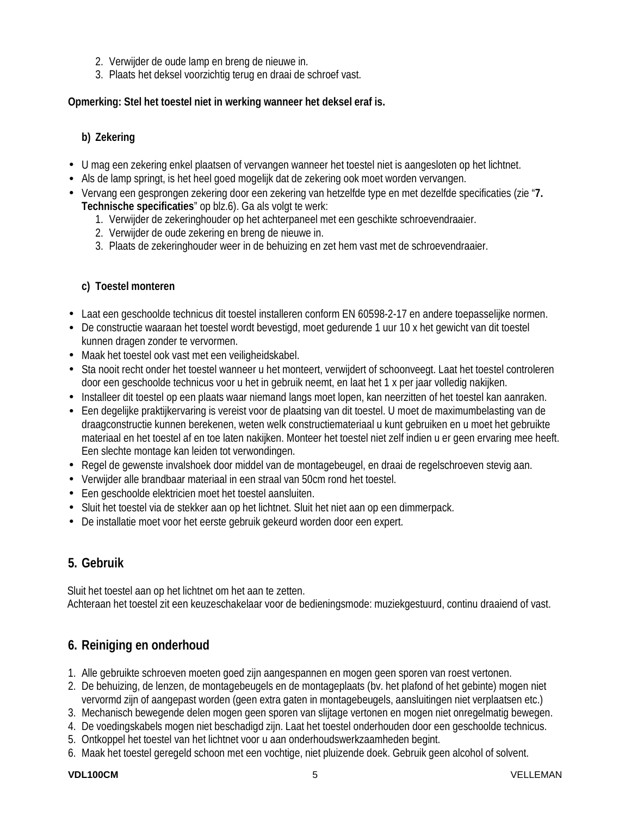- 2. Verwijder de oude lamp en breng de nieuwe in.
- 3. Plaats het deksel voorzichtig terug en draai de schroef vast.

#### **Opmerking: Stel het toestel niet in werking wanneer het deksel eraf is.**

#### **b) Zekering**

- U mag een zekering enkel plaatsen of vervangen wanneer het toestel niet is aangesloten op het lichtnet.
- Als de lamp springt, is het heel goed mogelijk dat de zekering ook moet worden vervangen.
- Vervang een gesprongen zekering door een zekering van hetzelfde type en met dezelfde specificaties (zie "**7. Technische specificaties**" op blz.6). Ga als volgt te werk:
	- 1. Verwijder de zekeringhouder op het achterpaneel met een geschikte schroevendraaier.
	- 2. Verwijder de oude zekering en breng de nieuwe in.
	- 3. Plaats de zekeringhouder weer in de behuizing en zet hem vast met de schroevendraaier.

#### **c) Toestel monteren**

- Laat een geschoolde technicus dit toestel installeren conform EN 60598-2-17 en andere toepasselijke normen.
- De constructie waaraan het toestel wordt bevestigd, moet gedurende 1 uur 10 x het gewicht van dit toestel kunnen dragen zonder te vervormen.
- Maak het toestel ook vast met een veiligheidskabel.
- Sta nooit recht onder het toestel wanneer u het monteert, verwijdert of schoonveegt. Laat het toestel controleren door een geschoolde technicus voor u het in gebruik neemt, en laat het 1 x per jaar volledig nakijken.
- Installeer dit toestel op een plaats waar niemand langs moet lopen, kan neerzitten of het toestel kan aanraken.
- Een degelijke praktijkervaring is vereist voor de plaatsing van dit toestel. U moet de maximumbelasting van de draagconstructie kunnen berekenen, weten welk constructiemateriaal u kunt gebruiken en u moet het gebruikte materiaal en het toestel af en toe laten nakijken. Monteer het toestel niet zelf indien u er geen ervaring mee heeft. Een slechte montage kan leiden tot verwondingen.
- Regel de gewenste invalshoek door middel van de montagebeugel, en draai de regelschroeven stevig aan.
- Verwijder alle brandbaar materiaal in een straal van 50cm rond het toestel.
- Een geschoolde elektricien moet het toestel aansluiten.
- Sluit het toestel via de stekker aan op het lichtnet. Sluit het niet aan op een dimmerpack.
- De installatie moet voor het eerste gebruik gekeurd worden door een expert.

# **5. Gebruik**

Sluit het toestel aan op het lichtnet om het aan te zetten. Achteraan het toestel zit een keuzeschakelaar voor de bedieningsmode: muziekgestuurd, continu draaiend of vast.

# **6. Reiniging en onderhoud**

- 1. Alle gebruikte schroeven moeten goed zijn aangespannen en mogen geen sporen van roest vertonen.
- 2. De behuizing, de lenzen, de montagebeugels en de montageplaats (bv. het plafond of het gebinte) mogen niet vervormd zijn of aangepast worden (geen extra gaten in montagebeugels, aansluitingen niet verplaatsen etc.)
- 3. Mechanisch bewegende delen mogen geen sporen van slijtage vertonen en mogen niet onregelmatig bewegen.
- 4. De voedingskabels mogen niet beschadigd zijn. Laat het toestel onderhouden door een geschoolde technicus.
- 5. Ontkoppel het toestel van het lichtnet voor u aan onderhoudswerkzaamheden begint.
- 6. Maak het toestel geregeld schoon met een vochtige, niet pluizende doek. Gebruik geen alcohol of solvent.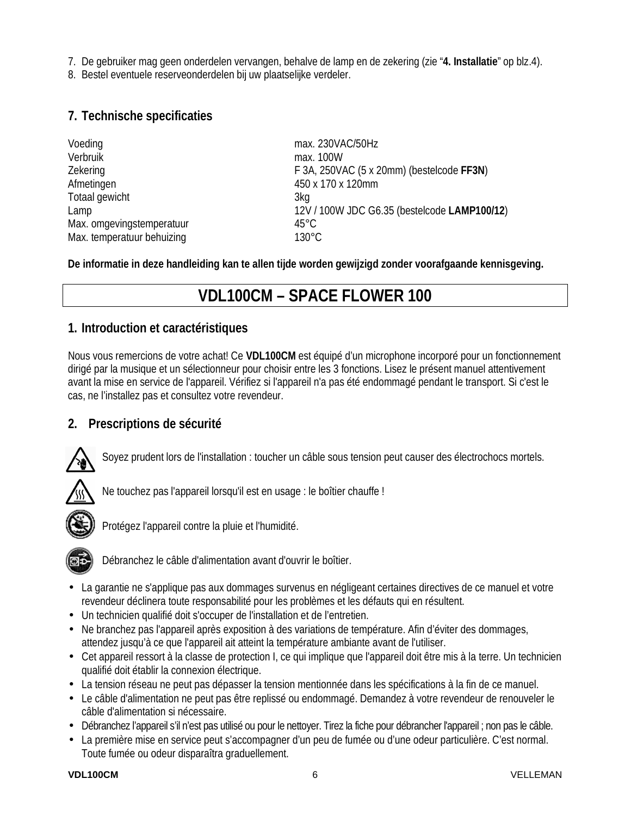7. De gebruiker mag geen onderdelen vervangen, behalve de lamp en de zekering (zie "**4. Installatie**" op blz.4).

8. Bestel eventuele reserveonderdelen bij uw plaatselijke verdeler.

### **7. Technische specificaties**

| Voeding                    | max. 230VAC/50Hz                             |
|----------------------------|----------------------------------------------|
| Verbruik                   | max. 100W                                    |
| Zekering                   | F 3A, 250VAC (5 x 20mm) (bestelcode FF3N)    |
| Afmetingen                 | 450 x 170 x 120mm                            |
| Totaal gewicht             | 3kg                                          |
| Lamp                       | 12V / 100W JDC G6.35 (bestelcode LAMP100/12) |
| Max. omgevingstemperatuur  | $45^{\circ}$ C                               |
| Max. temperatuur behuizing | $130^{\circ}$ C                              |

**De informatie in deze handleiding kan te allen tijde worden gewijzigd zonder voorafgaande kennisgeving.** 

# **VDL100CM – SPACE FLOWER 100**

#### **1. Introduction et caractéristiques**

Nous vous remercions de votre achat! Ce **VDL100CM** est équipé d'un microphone incorporé pour un fonctionnement dirigé par la musique et un sélectionneur pour choisir entre les 3 fonctions. Lisez le présent manuel attentivement avant la mise en service de l'appareil. Vérifiez si l'appareil n'a pas été endommagé pendant le transport. Si c'est le cas, ne l'installez pas et consultez votre revendeur.

### **2. Prescriptions de sécurité**



Soyez prudent lors de l'installation : toucher un câble sous tension peut causer des électrochocs mortels.



Ne touchez pas l'appareil lorsqu'il est en usage : le boîtier chauffe !



Protégez l'appareil contre la pluie et l'humidité.



Débranchez le câble d'alimentation avant d'ouvrir le boîtier.

- La garantie ne s'applique pas aux dommages survenus en négligeant certaines directives de ce manuel et votre revendeur déclinera toute responsabilité pour les problèmes et les défauts qui en résultent.
- Un technicien qualifié doit s'occuper de l'installation et de l'entretien.
- Ne branchez pas l'appareil après exposition à des variations de température. Afin d'éviter des dommages, attendez jusqu'à ce que l'appareil ait atteint la température ambiante avant de l'utiliser.
- Cet appareil ressort à la classe de protection I, ce qui implique que l'appareil doit être mis à la terre. Un technicien qualifié doit établir la connexion électrique.
- La tension réseau ne peut pas dépasser la tension mentionnée dans les spécifications à la fin de ce manuel.
- Le câble d'alimentation ne peut pas être replissé ou endommagé. Demandez à votre revendeur de renouveler le câble d'alimentation si nécessaire.
- Débranchez l'appareil s'il n'est pas utilisé ou pour le nettoyer. Tirez la fiche pour débrancher l'appareil ; non pas le câble.
- La première mise en service peut s'accompagner d'un peu de fumée ou d'une odeur particulière. C'est normal. Toute fumée ou odeur disparaîtra graduellement.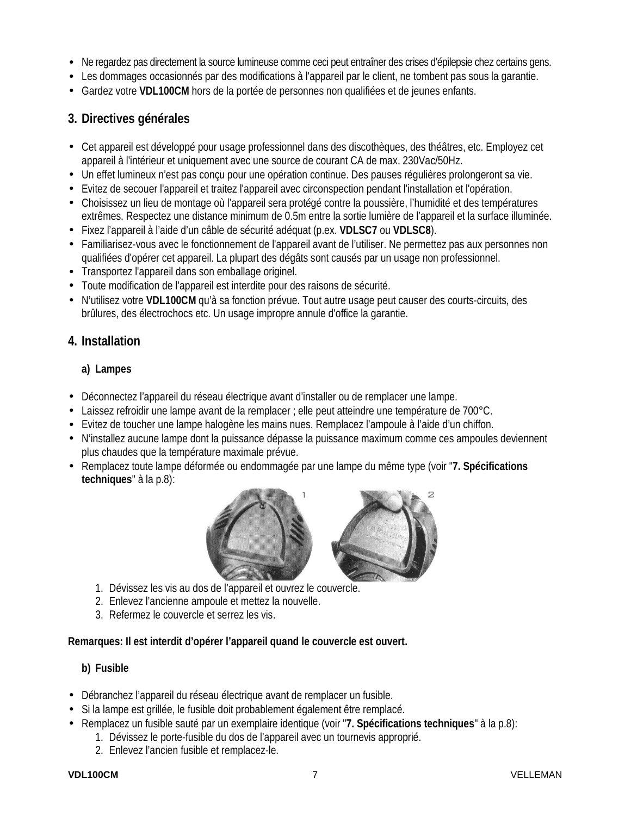- Ne regardez pas directement la source lumineuse comme ceci peut entraîner des crises d'épilepsie chez certains gens.
- Les dommages occasionnés par des modifications à l'appareil par le client, ne tombent pas sous la garantie.
- Gardez votre **VDL100CM** hors de la portée de personnes non qualifiées et de jeunes enfants.

## **3. Directives générales**

- Cet appareil est développé pour usage professionnel dans des discothèques, des théâtres, etc. Employez cet appareil à l'intérieur et uniquement avec une source de courant CA de max. 230Vac/50Hz.
- Un effet lumineux n'est pas conçu pour une opération continue. Des pauses régulières prolongeront sa vie.
- Evitez de secouer l'appareil et traitez l'appareil avec circonspection pendant l'installation et l'opération.
- Choisissez un lieu de montage où l'appareil sera protégé contre la poussière, l'humidité et des températures extrêmes. Respectez une distance minimum de 0.5m entre la sortie lumière de l'appareil et la surface illuminée.
- Fixez l'appareil à l'aide d'un câble de sécurité adéquat (p.ex. **VDLSC7** ou **VDLSC8**).
- Familiarisez-vous avec le fonctionnement de l'appareil avant de l'utiliser. Ne permettez pas aux personnes non qualifiées d'opérer cet appareil. La plupart des dégâts sont causés par un usage non professionnel.
- Transportez l'appareil dans son emballage originel.
- Toute modification de l'appareil est interdite pour des raisons de sécurité.
- N'utilisez votre **VDL100CM** qu'à sa fonction prévue. Tout autre usage peut causer des courts-circuits, des brûlures, des électrochocs etc. Un usage impropre annule d'office la garantie.

### **4. Installation**

#### **a) Lampes**

- Déconnectez l'appareil du réseau électrique avant d'installer ou de remplacer une lampe.
- Laissez refroidir une lampe avant de la remplacer ; elle peut atteindre une température de 700°C.
- Evitez de toucher une lampe halogène les mains nues. Remplacez l'ampoule à l'aide d'un chiffon.
- N'installez aucune lampe dont la puissance dépasse la puissance maximum comme ces ampoules deviennent plus chaudes que la température maximale prévue.
- Remplacez toute lampe déformée ou endommagée par une lampe du même type (voir "**7. Spécifications techniques**" à la p.8):



- 1. Dévissez les vis au dos de l'appareil et ouvrez le couvercle.
- 2. Enlevez l'ancienne ampoule et mettez la nouvelle.
- 3. Refermez le couvercle et serrez les vis.

#### **Remarques: Il est interdit d'opérer l'appareil quand le couvercle est ouvert.**

#### **b) Fusible**

- Débranchez l'appareil du réseau électrique avant de remplacer un fusible.
- Si la lampe est grillée, le fusible doit probablement également être remplacé.
- Remplacez un fusible sauté par un exemplaire identique (voir "**7. Spécifications techniques**" à la p.8):
	- 1. Dévissez le porte-fusible du dos de l'appareil avec un tournevis approprié.
	- 2. Enlevez l'ancien fusible et remplacez-le.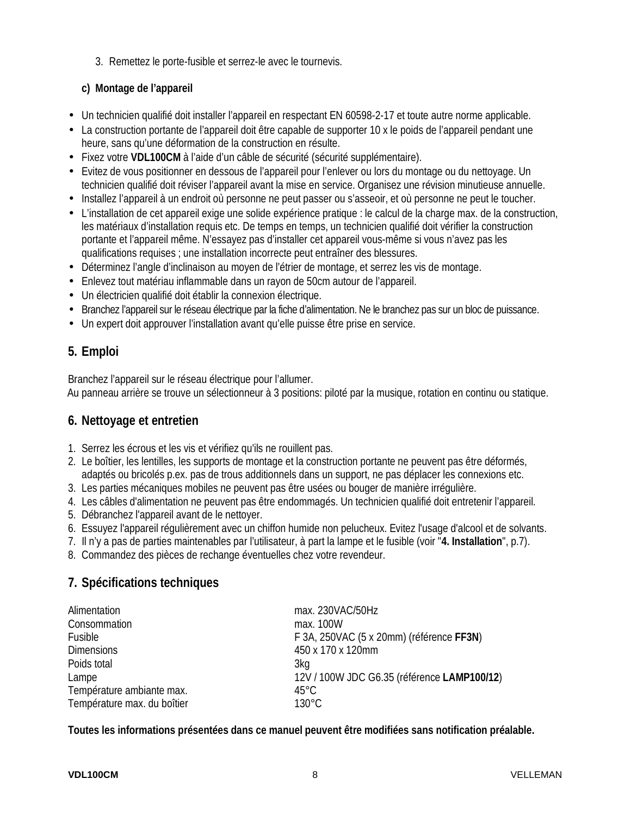3. Remettez le porte-fusible et serrez-le avec le tournevis.

#### **c) Montage de l'appareil**

- Un technicien qualifié doit installer l'appareil en respectant EN 60598-2-17 et toute autre norme applicable.
- La construction portante de l'appareil doit être capable de supporter 10 x le poids de l'appareil pendant une heure, sans qu'une déformation de la construction en résulte.
- Fixez votre **VDL100CM** à l'aide d'un câble de sécurité (sécurité supplémentaire).
- Evitez de vous positionner en dessous de l'appareil pour l'enlever ou lors du montage ou du nettoyage. Un technicien qualifié doit réviser l'appareil avant la mise en service. Organisez une révision minutieuse annuelle.
- Installez l'appareil à un endroit où personne ne peut passer ou s'asseoir, et où personne ne peut le toucher.
- L'installation de cet appareil exige une solide expérience pratique : le calcul de la charge max. de la construction, les matériaux d'installation requis etc. De temps en temps, un technicien qualifié doit vérifier la construction portante et l'appareil même. N'essayez pas d'installer cet appareil vous-même si vous n'avez pas les qualifications requises ; une installation incorrecte peut entraîner des blessures.
- Déterminez l'angle d'inclinaison au moyen de l'étrier de montage, et serrez les vis de montage.
- Enlevez tout matériau inflammable dans un rayon de 50cm autour de l'appareil.
- Un électricien qualifié doit établir la connexion électrique.
- Branchez l'appareil sur le réseau électrique par la fiche d'alimentation. Ne le branchez pas sur un bloc de puissance.
- Un expert doit approuver l'installation avant qu'elle puisse être prise en service.

## **5. Emploi**

Branchez l'appareil sur le réseau électrique pour l'allumer. Au panneau arrière se trouve un sélectionneur à 3 positions: piloté par la musique, rotation en continu ou statique.

### **6. Nettoyage et entretien**

- 1. Serrez les écrous et les vis et vérifiez qu'ils ne rouillent pas.
- 2. Le boîtier, les lentilles, les supports de montage et la construction portante ne peuvent pas être déformés, adaptés ou bricolés p.ex. pas de trous additionnels dans un support, ne pas déplacer les connexions etc.
- 3. Les parties mécaniques mobiles ne peuvent pas être usées ou bouger de manière irrégulière.
- 4. Les câbles d'alimentation ne peuvent pas être endommagés. Un technicien qualifié doit entretenir l'appareil.
- 5. Débranchez l'appareil avant de le nettoyer.
- 6. Essuyez l'appareil régulièrement avec un chiffon humide non pelucheux. Evitez l'usage d'alcool et de solvants.
- 7. Il n'y a pas de parties maintenables par l'utilisateur, à part la lampe et le fusible (voir "**4. Installation**", p.7).
- 8. Commandez des pièces de rechange éventuelles chez votre revendeur.

# **7. Spécifications techniques**

| Alimentation                | max. 230VAC/50Hz                            |
|-----------------------------|---------------------------------------------|
| Consommation                | max. 100W                                   |
| Fusible                     | F 3A, 250VAC (5 x 20mm) (référence FF3N)    |
| <b>Dimensions</b>           | 450 x 170 x 120mm                           |
| Poids total                 | 3kg                                         |
| Lampe                       | 12V / 100W JDC G6.35 (référence LAMP100/12) |
| Température ambiante max.   | $45^{\circ}$ C                              |
| Température max. du boîtier | $130^{\circ}$ C                             |

**Toutes les informations présentées dans ce manuel peuvent être modifiées sans notification préalable.**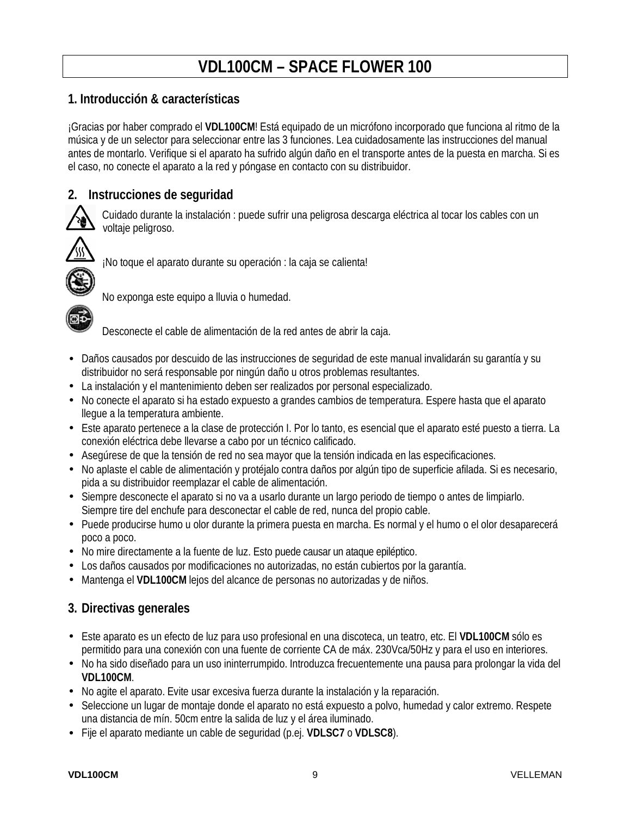# **VDL100CM – SPACE FLOWER 100**

### **1. Introducción & características**

¡Gracias por haber comprado el **VDL100CM**! Está equipado de un micrófono incorporado que funciona al ritmo de la música y de un selector para seleccionar entre las 3 funciones. Lea cuidadosamente las instrucciones del manual antes de montarlo. Verifique si el aparato ha sufrido algún daño en el transporte antes de la puesta en marcha. Si es el caso, no conecte el aparato a la red y póngase en contacto con su distribuidor.

## **2. Instrucciones de seguridad**



Cuidado durante la instalación : puede sufrir una peligrosa descarga eléctrica al tocar los cables con un voltaje peligroso.



¡No toque el aparato durante su operación : la caja se calienta!



No exponga este equipo a lluvia o humedad.

Desconecte el cable de alimentación de la red antes de abrir la caja.

- Daños causados por descuido de las instrucciones de seguridad de este manual invalidarán su garantía y su distribuidor no será responsable por ningún daño u otros problemas resultantes.
- La instalación y el mantenimiento deben ser realizados por personal especializado.
- No conecte el aparato si ha estado expuesto a grandes cambios de temperatura. Espere hasta que el aparato llegue a la temperatura ambiente.
- Este aparato pertenece a la clase de protección I. Por lo tanto, es esencial que el aparato esté puesto a tierra. La conexión eléctrica debe llevarse a cabo por un técnico calificado.
- Asegúrese de que la tensión de red no sea mayor que la tensión indicada en las especificaciones.
- No aplaste el cable de alimentación y protéjalo contra daños por algún tipo de superficie afilada. Si es necesario, pida a su distribuidor reemplazar el cable de alimentación.
- Siempre desconecte el aparato si no va a usarlo durante un largo periodo de tiempo o antes de limpiarlo. Siempre tire del enchufe para desconectar el cable de red, nunca del propio cable.
- Puede producirse humo u olor durante la primera puesta en marcha. Es normal y el humo o el olor desaparecerá poco a poco.
- No mire directamente a la fuente de luz. Esto puede causar un ataque epiléptico.
- Los daños causados por modificaciones no autorizadas, no están cubiertos por la garantía.
- Mantenga el **VDL100CM** lejos del alcance de personas no autorizadas y de niños.

### **3. Directivas generales**

- Este aparato es un efecto de luz para uso profesional en una discoteca, un teatro, etc. El **VDL100CM** sólo es permitido para una conexión con una fuente de corriente CA de máx. 230Vca/50Hz y para el uso en interiores.
- No ha sido diseñado para un uso ininterrumpido. Introduzca frecuentemente una pausa para prolongar la vida del **VDL100CM**.
- No agite el aparato. Evite usar excesiva fuerza durante la instalación y la reparación.
- Seleccione un lugar de montaje donde el aparato no está expuesto a polvo, humedad y calor extremo. Respete una distancia de mín. 50cm entre la salida de luz y el área iluminado.
- Fije el aparato mediante un cable de seguridad (p.ej. **VDLSC7** o **VDLSC8**).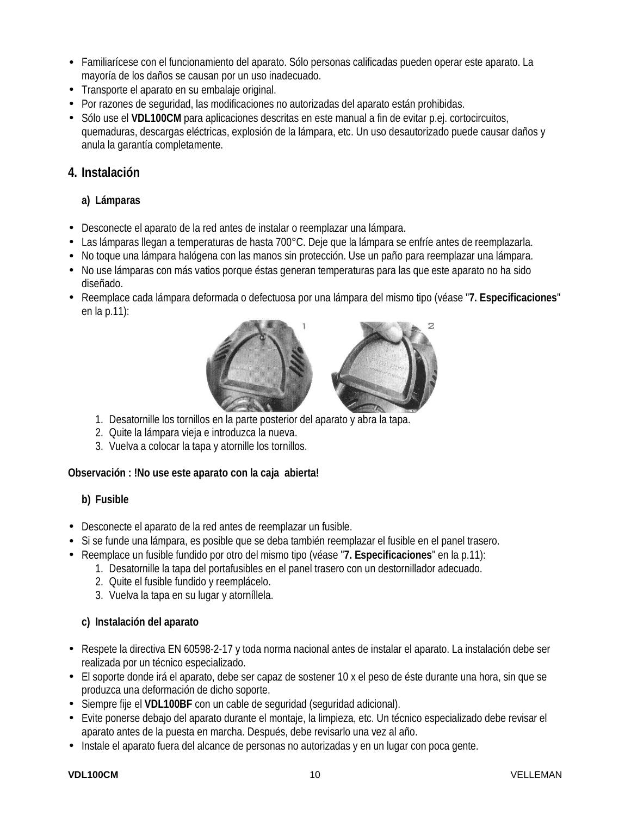- Familiarícese con el funcionamiento del aparato. Sólo personas calificadas pueden operar este aparato. La mayoría de los daños se causan por un uso inadecuado.
- Transporte el aparato en su embalaje original.
- Por razones de seguridad, las modificaciones no autorizadas del aparato están prohibidas.
- Sólo use el **VDL100CM** para aplicaciones descritas en este manual a fin de evitar p.ej. cortocircuitos, quemaduras, descargas eléctricas, explosión de la lámpara, etc. Un uso desautorizado puede causar daños y anula la garantía completamente.

#### **4. Instalación**

#### **a) Lámparas**

- Desconecte el aparato de la red antes de instalar o reemplazar una lámpara.
- Las lámparas llegan a temperaturas de hasta 700°C. Deje que la lámpara se enfríe antes de reemplazarla.
- No toque una lámpara halógena con las manos sin protección. Use un paño para reemplazar una lámpara.
- No use lámparas con más vatios porque éstas generan temperaturas para las que este aparato no ha sido diseñado.
- Reemplace cada lámpara deformada o defectuosa por una lámpara del mismo tipo (véase "**7. Especificaciones**" en la p.11):



- 1. Desatornille los tornillos en la parte posterior del aparato y abra la tapa.
- 2. Quite la lámpara vieja e introduzca la nueva.
- 3. Vuelva a colocar la tapa y atornille los tornillos.

#### **Observación : !No use este aparato con la caja abierta!**

#### **b) Fusible**

- Desconecte el aparato de la red antes de reemplazar un fusible.
- Si se funde una lámpara, es posible que se deba también reemplazar el fusible en el panel trasero.
- Reemplace un fusible fundido por otro del mismo tipo (véase "**7. Especificaciones**" en la p.11):
	- 1. Desatornille la tapa del portafusibles en el panel trasero con un destornillador adecuado.
	- 2. Quite el fusible fundido y reemplácelo.
	- 3. Vuelva la tapa en su lugar y atorníllela.

#### **c) Instalación del aparato**

- Respete la directiva EN 60598-2-17 y toda norma nacional antes de instalar el aparato. La instalación debe ser realizada por un técnico especializado.
- El soporte donde irá el aparato, debe ser capaz de sostener 10 x el peso de éste durante una hora, sin que se produzca una deformación de dicho soporte.
- Siempre fije el **VDL100BF** con un cable de seguridad (seguridad adicional).
- Evite ponerse debajo del aparato durante el montaje, la limpieza, etc. Un técnico especializado debe revisar el aparato antes de la puesta en marcha. Después, debe revisarlo una vez al año.
- Instale el aparato fuera del alcance de personas no autorizadas y en un lugar con poca gente.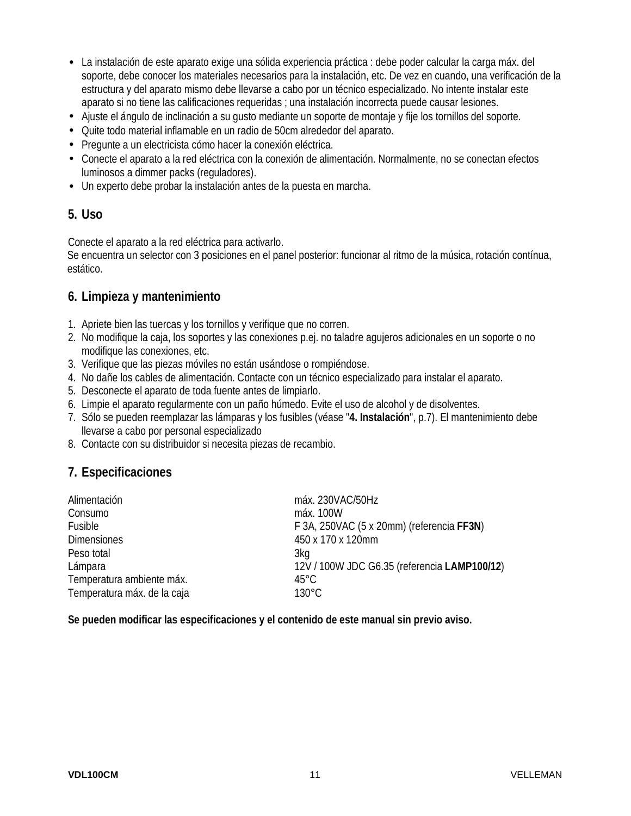- La instalación de este aparato exige una sólida experiencia práctica : debe poder calcular la carga máx. del soporte, debe conocer los materiales necesarios para la instalación, etc. De vez en cuando, una verificación de la estructura y del aparato mismo debe llevarse a cabo por un técnico especializado. No intente instalar este aparato si no tiene las calificaciones requeridas ; una instalación incorrecta puede causar lesiones.
- Ajuste el ángulo de inclinación a su gusto mediante un soporte de montaje y fije los tornillos del soporte.
- Quite todo material inflamable en un radio de 50cm alrededor del aparato.
- Pregunte a un electricista cómo hacer la conexión eléctrica.
- Conecte el aparato a la red eléctrica con la conexión de alimentación. Normalmente, no se conectan efectos luminosos a dimmer packs (reguladores).
- Un experto debe probar la instalación antes de la puesta en marcha.

#### **5. Uso**

Conecte el aparato a la red eléctrica para activarlo.

Se encuentra un selector con 3 posiciones en el panel posterior: funcionar al ritmo de la música, rotación contínua, estático.

### **6. Limpieza y mantenimiento**

- 1. Apriete bien las tuercas y los tornillos y verifique que no corren.
- 2. No modifique la caja, los soportes y las conexiones p.ej. no taladre agujeros adicionales en un soporte o no modifique las conexiones, etc.
- 3. Verifique que las piezas móviles no están usándose o rompiéndose.
- 4. No dañe los cables de alimentación. Contacte con un técnico especializado para instalar el aparato.
- 5. Desconecte el aparato de toda fuente antes de limpiarlo.
- 6. Limpie el aparato regularmente con un paño húmedo. Evite el uso de alcohol y de disolventes.
- 7. Sólo se pueden reemplazar las lámparas y los fusibles (véase "**4. Instalación**", p.7). El mantenimiento debe llevarse a cabo por personal especializado
- 8. Contacte con su distribuidor si necesita piezas de recambio.

### **7. Especificaciones**

| Alimentación                | máx. 230VAC/50Hz                             |
|-----------------------------|----------------------------------------------|
| Consumo                     | máx. 100W                                    |
| Fusible                     | F 3A, 250VAC (5 x 20mm) (referencia FF3N)    |
| <b>Dimensiones</b>          | 450 x 170 x 120mm                            |
| Peso total                  | 3kg                                          |
| Lámpara                     | 12V / 100W JDC G6.35 (referencia LAMP100/12) |
| Temperatura ambiente máx.   | $45^{\circ}$ C                               |
| Temperatura máx. de la caja | $130^{\circ}$ C                              |

**Se pueden modificar las especificaciones y el contenido de este manual sin previo aviso.**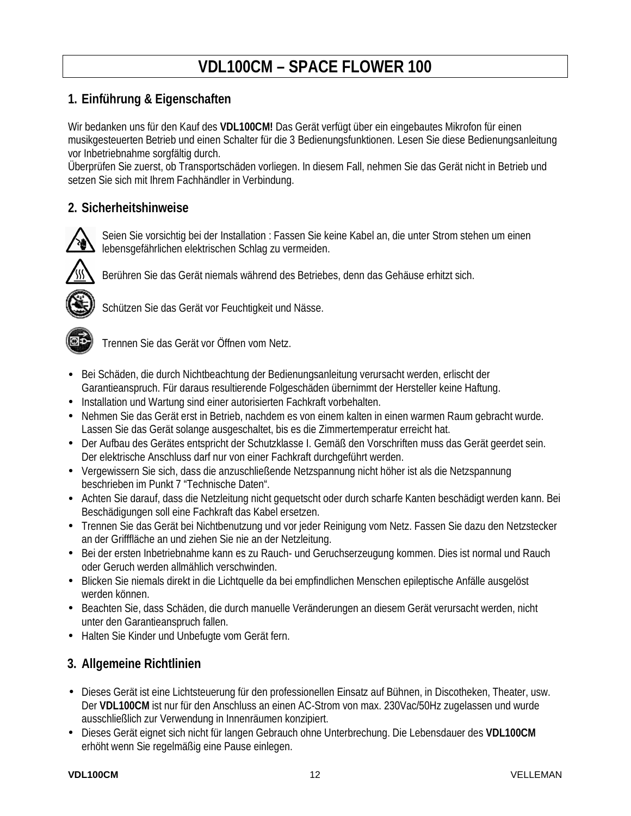# **VDL100CM – SPACE FLOWER 100**

# **1. Einführung & Eigenschaften**

Wir bedanken uns für den Kauf des **VDL100CM!** Das Gerät verfügt über ein eingebautes Mikrofon für einen musikgesteuerten Betrieb und einen Schalter für die 3 Bedienungsfunktionen. Lesen Sie diese Bedienungsanleitung vor Inbetriebnahme sorgfältig durch.

Überprüfen Sie zuerst, ob Transportschäden vorliegen. In diesem Fall, nehmen Sie das Gerät nicht in Betrieb und setzen Sie sich mit Ihrem Fachhändler in Verbindung.

## **2. Sicherheitshinweise**



Seien Sie vorsichtig bei der Installation : Fassen Sie keine Kabel an, die unter Strom stehen um einen lebensgefährlichen elektrischen Schlag zu vermeiden.



Berühren Sie das Gerät niemals während des Betriebes, denn das Gehäuse erhitzt sich.



Schützen Sie das Gerät vor Feuchtigkeit und Nässe.



Trennen Sie das Gerät vor Öffnen vom Netz.

- Bei Schäden, die durch Nichtbeachtung der Bedienungsanleitung verursacht werden, erlischt der Garantieanspruch. Für daraus resultierende Folgeschäden übernimmt der Hersteller keine Haftung.
- Installation und Wartung sind einer autorisierten Fachkraft vorbehalten.
- Nehmen Sie das Gerät erst in Betrieb, nachdem es von einem kalten in einen warmen Raum gebracht wurde. Lassen Sie das Gerät solange ausgeschaltet, bis es die Zimmertemperatur erreicht hat.
- Der Aufbau des Gerätes entspricht der Schutzklasse I. Gemäß den Vorschriften muss das Gerät geerdet sein. Der elektrische Anschluss darf nur von einer Fachkraft durchgeführt werden.
- Vergewissern Sie sich, dass die anzuschließende Netzspannung nicht höher ist als die Netzspannung beschrieben im Punkt 7 "Technische Daten".
- Achten Sie darauf, dass die Netzleitung nicht gequetscht oder durch scharfe Kanten beschädigt werden kann. Bei Beschädigungen soll eine Fachkraft das Kabel ersetzen.
- Trennen Sie das Gerät bei Nichtbenutzung und vor jeder Reinigung vom Netz. Fassen Sie dazu den Netzstecker an der Grifffläche an und ziehen Sie nie an der Netzleitung.
- Bei der ersten Inbetriebnahme kann es zu Rauch- und Geruchserzeugung kommen. Dies ist normal und Rauch oder Geruch werden allmählich verschwinden.
- Blicken Sie niemals direkt in die Lichtquelle da bei empfindlichen Menschen epileptische Anfälle ausgelöst werden können.
- Beachten Sie, dass Schäden, die durch manuelle Veränderungen an diesem Gerät verursacht werden, nicht unter den Garantieanspruch fallen.
- Halten Sie Kinder und Unbefugte vom Gerät fern.

# **3. Allgemeine Richtlinien**

- Dieses Gerät ist eine Lichtsteuerung für den professionellen Einsatz auf Bühnen, in Discotheken, Theater, usw. Der **VDL100CM** ist nur für den Anschluss an einen AC-Strom von max. 230Vac/50Hz zugelassen und wurde ausschließlich zur Verwendung in Innenräumen konzipiert.
- Dieses Gerät eignet sich nicht für langen Gebrauch ohne Unterbrechung. Die Lebensdauer des **VDL100CM** erhöht wenn Sie regelmäßig eine Pause einlegen.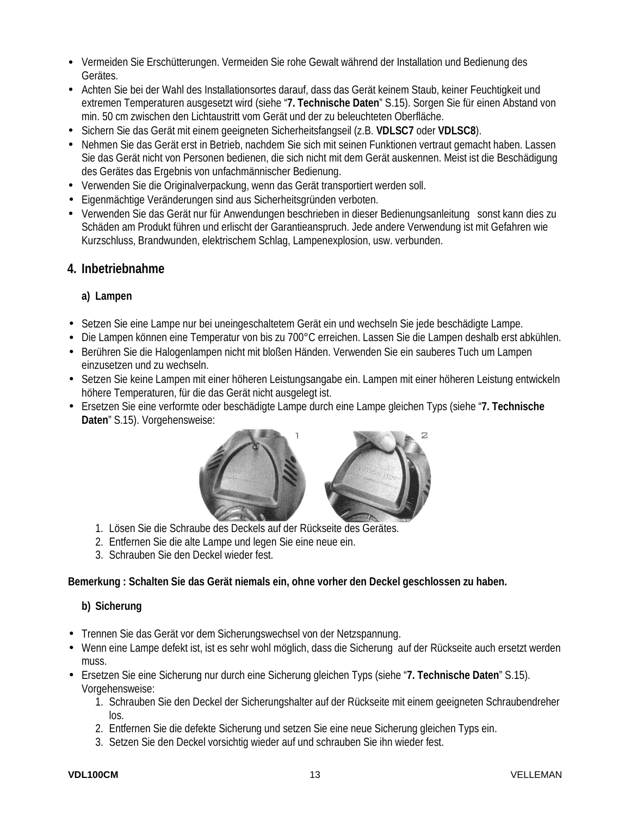- Vermeiden Sie Erschütterungen. Vermeiden Sie rohe Gewalt während der Installation und Bedienung des Gerätes.
- Achten Sie bei der Wahl des Installationsortes darauf, dass das Gerät keinem Staub, keiner Feuchtigkeit und extremen Temperaturen ausgesetzt wird (siehe "**7. Technische Daten**" S.15). Sorgen Sie für einen Abstand von min. 50 cm zwischen den Lichtaustritt vom Gerät und der zu beleuchteten Oberfläche.
- Sichern Sie das Gerät mit einem geeigneten Sicherheitsfangseil (z.B. **VDLSC7** oder **VDLSC8**).
- Nehmen Sie das Gerät erst in Betrieb, nachdem Sie sich mit seinen Funktionen vertraut gemacht haben. Lassen Sie das Gerät nicht von Personen bedienen, die sich nicht mit dem Gerät auskennen. Meist ist die Beschädigung des Gerätes das Ergebnis von unfachmännischer Bedienung.
- Verwenden Sie die Originalverpackung, wenn das Gerät transportiert werden soll.
- Eigenmächtige Veränderungen sind aus Sicherheitsgründen verboten.
- Verwenden Sie das Gerät nur für Anwendungen beschrieben in dieser Bedienungsanleitung sonst kann dies zu Schäden am Produkt führen und erlischt der Garantieanspruch. Jede andere Verwendung ist mit Gefahren wie Kurzschluss, Brandwunden, elektrischem Schlag, Lampenexplosion, usw. verbunden.

#### **4. Inbetriebnahme**

#### **a) Lampen**

- Setzen Sie eine Lampe nur bei uneingeschaltetem Gerät ein und wechseln Sie jede beschädigte Lampe.
- Die Lampen können eine Temperatur von bis zu 700°C erreichen. Lassen Sie die Lampen deshalb erst abkühlen.
- Berühren Sie die Halogenlampen nicht mit bloßen Händen. Verwenden Sie ein sauberes Tuch um Lampen einzusetzen und zu wechseln.
- Setzen Sie keine Lampen mit einer höheren Leistungsangabe ein. Lampen mit einer höheren Leistung entwickeln höhere Temperaturen, für die das Gerät nicht ausgelegt ist.
- Ersetzen Sie eine verformte oder beschädigte Lampe durch eine Lampe gleichen Typs (siehe "**7. Technische Daten**" S.15). Vorgehensweise:



- 1. Lösen Sie die Schraube des Deckels auf der Rückseite des Gerätes.
- 2. Entfernen Sie die alte Lampe und legen Sie eine neue ein.
- 3. Schrauben Sie den Deckel wieder fest.

#### **Bemerkung : Schalten Sie das Gerät niemals ein, ohne vorher den Deckel geschlossen zu haben.**

#### **b) Sicherung**

- Trennen Sie das Gerät vor dem Sicherungswechsel von der Netzspannung.
- Wenn eine Lampe defekt ist, ist es sehr wohl möglich, dass die Sicherung auf der Rückseite auch ersetzt werden muss.
- Ersetzen Sie eine Sicherung nur durch eine Sicherung gleichen Typs (siehe "**7. Technische Daten**" S.15). Vorgehensweise:
	- 1. Schrauben Sie den Deckel der Sicherungshalter auf der Rückseite mit einem geeigneten Schraubendreher los.
	- 2. Entfernen Sie die defekte Sicherung und setzen Sie eine neue Sicherung gleichen Typs ein.
	- 3. Setzen Sie den Deckel vorsichtig wieder auf und schrauben Sie ihn wieder fest.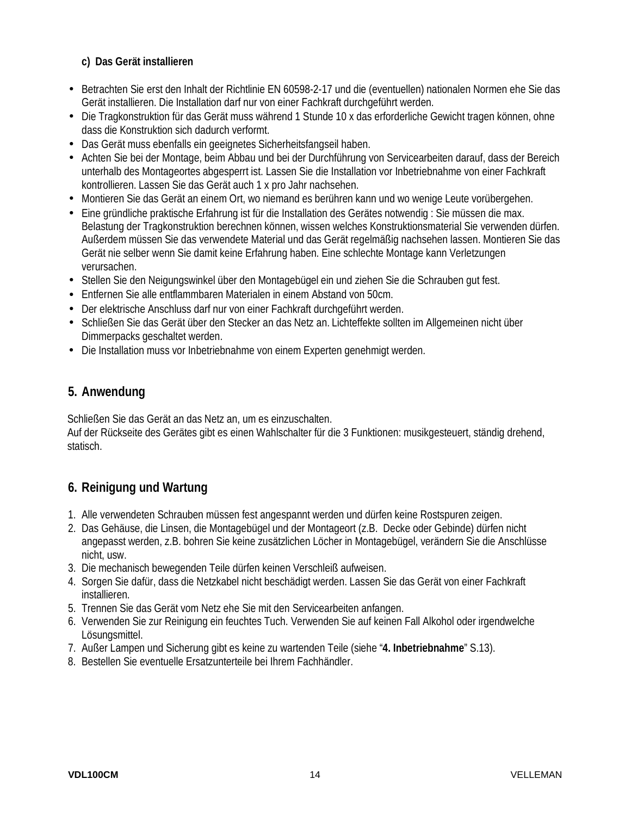#### **c) Das Gerät installieren**

- Betrachten Sie erst den Inhalt der Richtlinie EN 60598-2-17 und die (eventuellen) nationalen Normen ehe Sie das Gerät installieren. Die Installation darf nur von einer Fachkraft durchgeführt werden.
- Die Tragkonstruktion für das Gerät muss während 1 Stunde 10 x das erforderliche Gewicht tragen können, ohne dass die Konstruktion sich dadurch verformt.
- Das Gerät muss ebenfalls ein geeignetes Sicherheitsfangseil haben.
- Achten Sie bei der Montage, beim Abbau und bei der Durchführung von Servicearbeiten darauf, dass der Bereich unterhalb des Montageortes abgesperrt ist. Lassen Sie die Installation vor Inbetriebnahme von einer Fachkraft kontrollieren. Lassen Sie das Gerät auch 1 x pro Jahr nachsehen.
- Montieren Sie das Gerät an einem Ort, wo niemand es berühren kann und wo wenige Leute vorübergehen.
- Eine gründliche praktische Erfahrung ist für die Installation des Gerätes notwendig : Sie müssen die max. Belastung der Tragkonstruktion berechnen können, wissen welches Konstruktionsmaterial Sie verwenden dürfen. Außerdem müssen Sie das verwendete Material und das Gerät regelmäßig nachsehen lassen. Montieren Sie das Gerät nie selber wenn Sie damit keine Erfahrung haben. Eine schlechte Montage kann Verletzungen verursachen.
- Stellen Sie den Neigungswinkel über den Montagebügel ein und ziehen Sie die Schrauben gut fest.
- Entfernen Sie alle entflammbaren Materialen in einem Abstand von 50cm.
- Der elektrische Anschluss darf nur von einer Fachkraft durchgeführt werden.
- Schließen Sie das Gerät über den Stecker an das Netz an. Lichteffekte sollten im Allgemeinen nicht über Dimmerpacks geschaltet werden.
- Die Installation muss vor Inbetriebnahme von einem Experten genehmigt werden.

# **5. Anwendung**

Schließen Sie das Gerät an das Netz an, um es einzuschalten.

Auf der Rückseite des Gerätes gibt es einen Wahlschalter für die 3 Funktionen: musikgesteuert, ständig drehend, statisch.

# **6. Reinigung und Wartung**

- 1. Alle verwendeten Schrauben müssen fest angespannt werden und dürfen keine Rostspuren zeigen.
- 2. Das Gehäuse, die Linsen, die Montagebügel und der Montageort (z.B. Decke oder Gebinde) dürfen nicht angepasst werden, z.B. bohren Sie keine zusätzlichen Löcher in Montagebügel, verändern Sie die Anschlüsse nicht, usw.
- 3. Die mechanisch bewegenden Teile dürfen keinen Verschleiß aufweisen.
- 4. Sorgen Sie dafür, dass die Netzkabel nicht beschädigt werden. Lassen Sie das Gerät von einer Fachkraft installieren.
- 5. Trennen Sie das Gerät vom Netz ehe Sie mit den Servicearbeiten anfangen.
- 6. Verwenden Sie zur Reinigung ein feuchtes Tuch. Verwenden Sie auf keinen Fall Alkohol oder irgendwelche Lösungsmittel.
- 7. Außer Lampen und Sicherung gibt es keine zu wartenden Teile (siehe "**4. Inbetriebnahme**" S.13).
- 8. Bestellen Sie eventuelle Ersatzunterteile bei Ihrem Fachhändler.